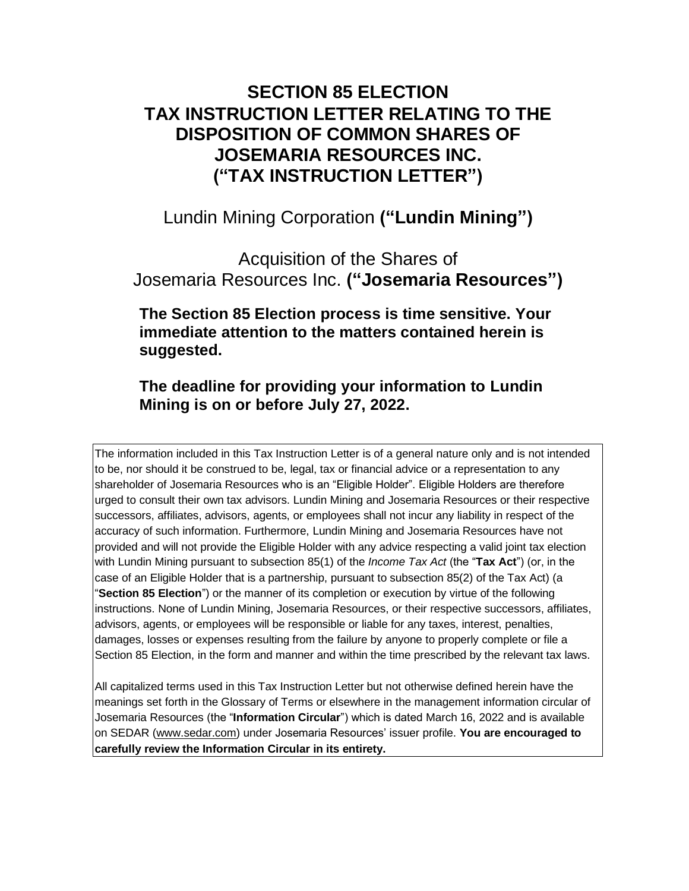## **SECTION 85 ELECTION TAX INSTRUCTION LETTER RELATING TO THE DISPOSITION OF COMMON SHARES OF JOSEMARIA RESOURCES INC. ("TAX INSTRUCTION LETTER")**

Lundin Mining Corporation **("Lundin Mining")**

Acquisition of the Shares of Josemaria Resources Inc. **("Josemaria Resources")**

**The Section 85 Election process is time sensitive. Your immediate attention to the matters contained herein is suggested.**

**The deadline for providing your information to Lundin Mining is on or before July 27, 2022.**

The information included in this Tax Instruction Letter is of a general nature only and is not intended to be, nor should it be construed to be, legal, tax or financial advice or a representation to any shareholder of Josemaria Resources who is an "Eligible Holder". Eligible Holders are therefore urged to consult their own tax advisors. Lundin Mining and Josemaria Resources or their respective successors, affiliates, advisors, agents, or employees shall not incur any liability in respect of the accuracy of such information. Furthermore, Lundin Mining and Josemaria Resources have not provided and will not provide the Eligible Holder with any advice respecting a valid joint tax election with Lundin Mining pursuant to subsection 85(1) of the *Income Tax Act* (the "**Tax Act**") (or, in the case of an Eligible Holder that is a partnership, pursuant to subsection 85(2) of the Tax Act) (a "**Section 85 Election**") or the manner of its completion or execution by virtue of the following instructions. None of Lundin Mining, Josemaria Resources, or their respective successors, affiliates, advisors, agents, or employees will be responsible or liable for any taxes, interest, penalties, damages, losses or expenses resulting from the failure by anyone to properly complete or file a Section 85 Election, in the form and manner and within the time prescribed by the relevant tax laws.

All capitalized terms used in this Tax Instruction Letter but not otherwise defined herein have the meanings set forth in the Glossary of Terms or elsewhere in the management information circular of Josemaria Resources (the "**Information Circular**") which is dated March 16, 2022 and is available on SEDAR [\(www.sedar.com\)](http://www.sedar.com/) under Josemaria Resources' issuer profile. **You are encouraged to carefully review the Information Circular in its entirety.**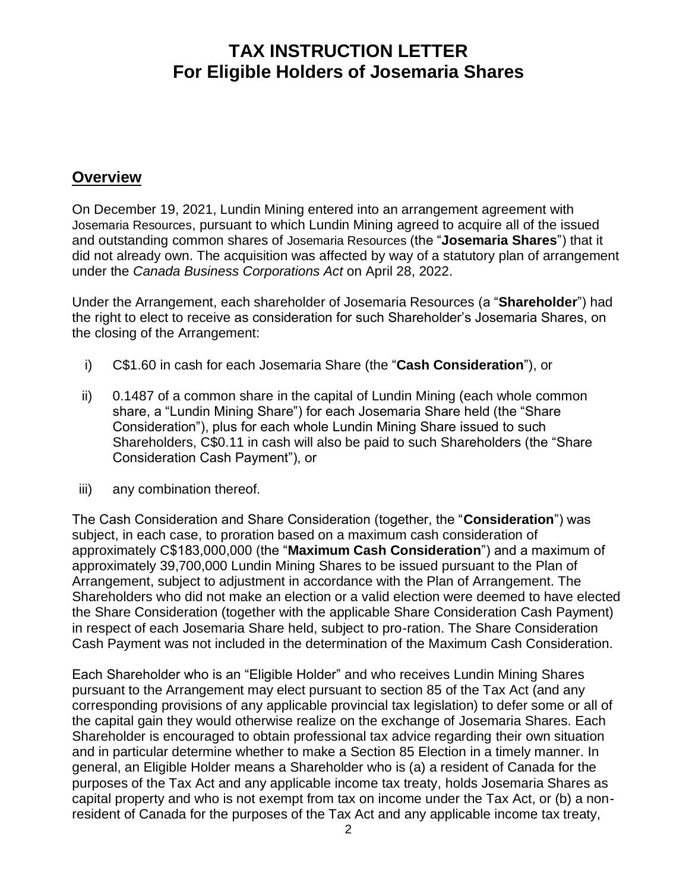#### **Overview**

On December 19, 2021, Lundin Mining entered into an arrangement agreement with Josemaria Resources, pursuant to which Lundin Mining agreed to acquire all of the issued and outstanding common shares of Josemaria Resources (the "**Josemaria Shares**") that it did not already own. The acquisition was affected by way of a statutory plan of arrangement under the *Canada Business Corporations Act* on April 28, 2022.

Under the Arrangement, each shareholder of Josemaria Resources (a "**Shareholder**") had the right to elect to receive as consideration for such Shareholder's Josemaria Shares, on the closing of the Arrangement:

- i) C\$1.60 in cash for each Josemaria Share (the "**Cash Consideration**"), or
- ii) 0.1487 of a common share in the capital of Lundin Mining (each whole common share, a "Lundin Mining Share") for each Josemaria Share held (the "Share Consideration"), plus for each whole Lundin Mining Share issued to such Shareholders, C\$0.11 in cash will also be paid to such Shareholders (the "Share Consideration Cash Payment"), or
- iii) any combination thereof.

The Cash Consideration and Share Consideration (together, the "**Consideration**") was subject, in each case, to proration based on a maximum cash consideration of approximately C\$183,000,000 (the "**Maximum Cash Consideration**") and a maximum of approximately 39,700,000 Lundin Mining Shares to be issued pursuant to the Plan of Arrangement, subject to adjustment in accordance with the Plan of Arrangement. The Shareholders who did not make an election or a valid election were deemed to have elected the Share Consideration (together with the applicable Share Consideration Cash Payment) in respect of each Josemaria Share held, subject to pro-ration. The Share Consideration Cash Payment was not included in the determination of the Maximum Cash Consideration.

Each Shareholder who is an "Eligible Holder" and who receives Lundin Mining Shares pursuant to the Arrangement may elect pursuant to section 85 of the Tax Act (and any corresponding provisions of any applicable provincial tax legislation) to defer some or all of the capital gain they would otherwise realize on the exchange of Josemaria Shares. Each Shareholder is encouraged to obtain professional tax advice regarding their own situation and in particular determine whether to make a Section 85 Election in a timely manner. In general, an Eligible Holder means a Shareholder who is (a) a resident of Canada for the purposes of the Tax Act and any applicable income tax treaty, holds Josemaria Shares as capital property and who is not exempt from tax on income under the Tax Act, or (b) a nonresident of Canada for the purposes of the Tax Act and any applicable income tax treaty,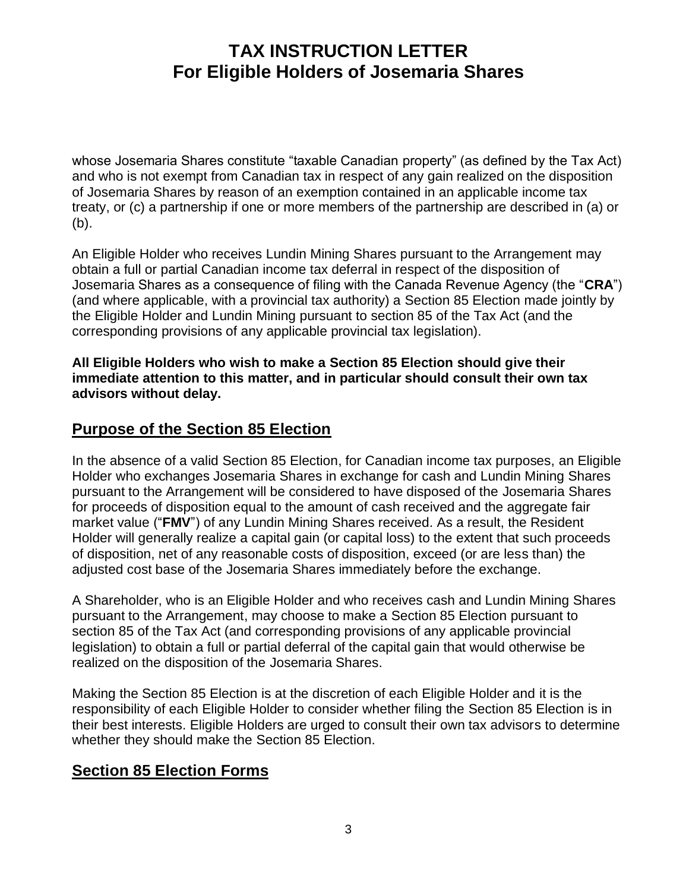whose Josemaria Shares constitute "taxable Canadian property" (as defined by the Tax Act) and who is not exempt from Canadian tax in respect of any gain realized on the disposition of Josemaria Shares by reason of an exemption contained in an applicable income tax treaty, or (c) a partnership if one or more members of the partnership are described in (a) or (b).

An Eligible Holder who receives Lundin Mining Shares pursuant to the Arrangement may obtain a full or partial Canadian income tax deferral in respect of the disposition of Josemaria Shares as a consequence of filing with the Canada Revenue Agency (the "**CRA**") (and where applicable, with a provincial tax authority) a Section 85 Election made jointly by the Eligible Holder and Lundin Mining pursuant to section 85 of the Tax Act (and the corresponding provisions of any applicable provincial tax legislation).

**All Eligible Holders who wish to make a Section 85 Election should give their immediate attention to this matter, and in particular should consult their own tax advisors without delay.**

#### **Purpose of the Section 85 Election**

In the absence of a valid Section 85 Election, for Canadian income tax purposes, an Eligible Holder who exchanges Josemaria Shares in exchange for cash and Lundin Mining Shares pursuant to the Arrangement will be considered to have disposed of the Josemaria Shares for proceeds of disposition equal to the amount of cash received and the aggregate fair market value ("**FMV**") of any Lundin Mining Shares received. As a result, the Resident Holder will generally realize a capital gain (or capital loss) to the extent that such proceeds of disposition, net of any reasonable costs of disposition, exceed (or are less than) the adjusted cost base of the Josemaria Shares immediately before the exchange.

A Shareholder, who is an Eligible Holder and who receives cash and Lundin Mining Shares pursuant to the Arrangement, may choose to make a Section 85 Election pursuant to section 85 of the Tax Act (and corresponding provisions of any applicable provincial legislation) to obtain a full or partial deferral of the capital gain that would otherwise be realized on the disposition of the Josemaria Shares.

Making the Section 85 Election is at the discretion of each Eligible Holder and it is the responsibility of each Eligible Holder to consider whether filing the Section 85 Election is in their best interests. Eligible Holders are urged to consult their own tax advisors to determine whether they should make the Section 85 Election.

#### **Section 85 Election Forms**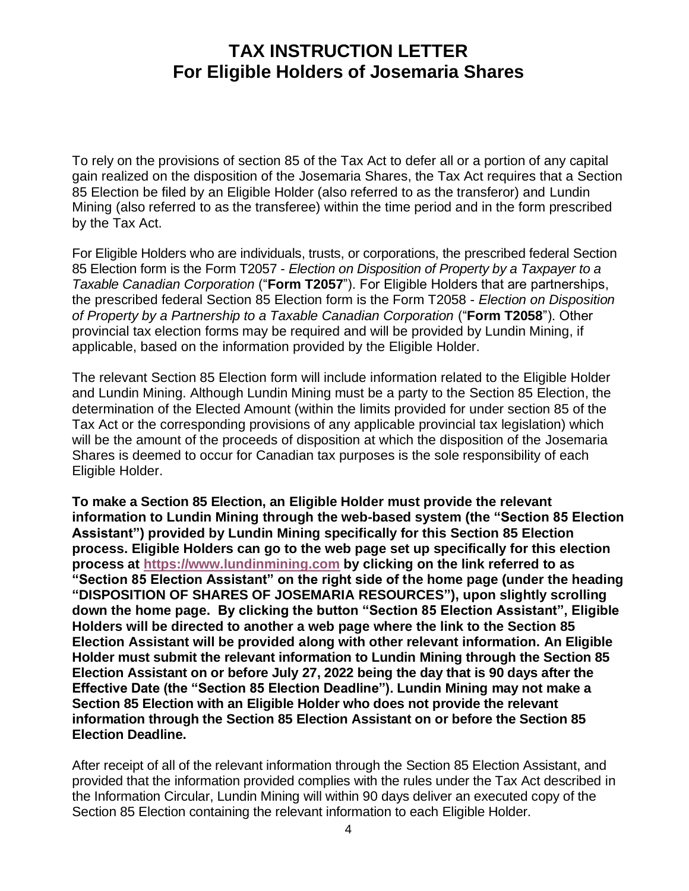To rely on the provisions of section 85 of the Tax Act to defer all or a portion of any capital gain realized on the disposition of the Josemaria Shares, the Tax Act requires that a Section 85 Election be filed by an Eligible Holder (also referred to as the transferor) and Lundin Mining (also referred to as the transferee) within the time period and in the form prescribed by the Tax Act.

For Eligible Holders who are individuals, trusts, or corporations, the prescribed federal Section 85 Election form is the Form T2057 - *Election on Disposition of Property by a Taxpayer to a Taxable Canadian Corporation* ("**Form T2057**"). For Eligible Holders that are partnerships, the prescribed federal Section 85 Election form is the Form T2058 - *Election on Disposition of Property by a Partnership to a Taxable Canadian Corporation ("Form T2058"). Other* provincial tax election forms may be required and will be provided by Lundin Mining, if applicable, based on the information provided by the Eligible Holder.

The relevant Section 85 Election form will include information related to the Eligible Holder and Lundin Mining. Although Lundin Mining must be a party to the Section 85 Election, the determination of the Elected Amount (within the limits provided for under section 85 of the Tax Act or the corresponding provisions of any applicable provincial tax legislation) which will be the amount of the proceeds of disposition at which the disposition of the Josemaria Shares is deemed to occur for Canadian tax purposes is the sole responsibility of each Eligible Holder.

**To make a Section 85 Election, an Eligible Holder must provide the relevant information to Lundin Mining through the web-based system (the "Section 85 Election Assistant") provided by Lundin Mining specifically for this Section 85 Election process. Eligible Holders can go to the web page set up specifically for this election process at [https://www.lundinmining.com](https://www.lundinmining.com/) by clicking on the link referred to as "Section 85 Election Assistant" on the right side of the home page (under the heading "DISPOSITION OF SHARES OF JOSEMARIA RESOURCES"), upon slightly scrolling down the home page. By clicking the button "Section 85 Election Assistant", Eligible Holders will be directed to another a web page where the link to the Section 85 Election Assistant will be provided along with other relevant information. An Eligible Holder must submit the relevant information to Lundin Mining through the Section 85 Election Assistant on or before July 27, 2022 being the day that is 90 days after the Effective Date (the "Section 85 Election Deadline"). Lundin Mining may not make a Section 85 Election with an Eligible Holder who does not provide the relevant information through the Section 85 Election Assistant on or before the Section 85 Election Deadline.**

After receipt of all of the relevant information through the Section 85 Election Assistant, and provided that the information provided complies with the rules under the Tax Act described in the Information Circular, Lundin Mining will within 90 days deliver an executed copy of the Section 85 Election containing the relevant information to each Eligible Holder.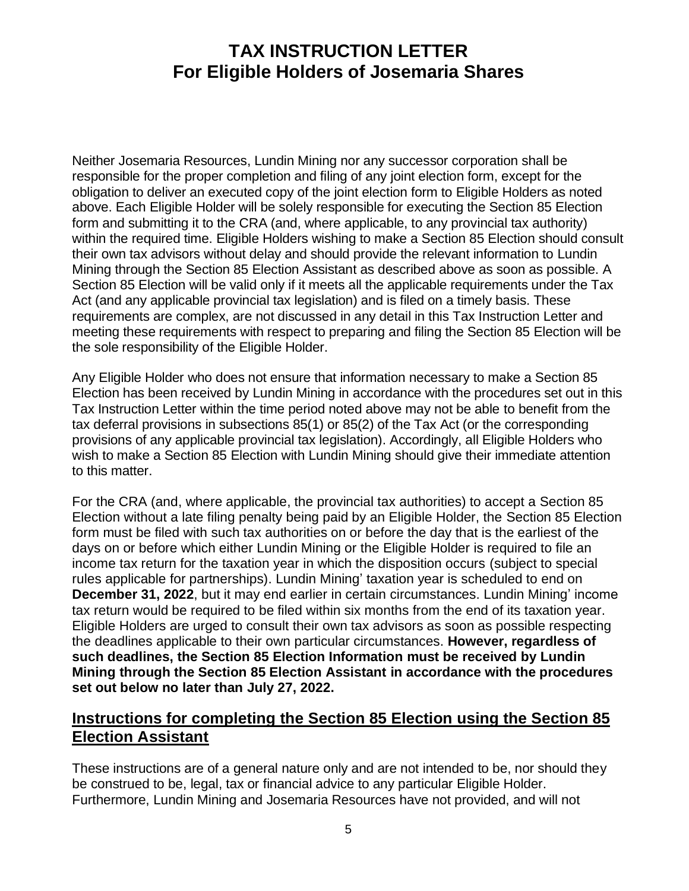Neither Josemaria Resources, Lundin Mining nor any successor corporation shall be responsible for the proper completion and filing of any joint election form, except for the obligation to deliver an executed copy of the joint election form to Eligible Holders as noted above. Each Eligible Holder will be solely responsible for executing the Section 85 Election form and submitting it to the CRA (and, where applicable, to any provincial tax authority) within the required time. Eligible Holders wishing to make a Section 85 Election should consult their own tax advisors without delay and should provide the relevant information to Lundin Mining through the Section 85 Election Assistant as described above as soon as possible. A Section 85 Election will be valid only if it meets all the applicable requirements under the Tax Act (and any applicable provincial tax legislation) and is filed on a timely basis. These requirements are complex, are not discussed in any detail in this Tax Instruction Letter and meeting these requirements with respect to preparing and filing the Section 85 Election will be the sole responsibility of the Eligible Holder.

Any Eligible Holder who does not ensure that information necessary to make a Section 85 Election has been received by Lundin Mining in accordance with the procedures set out in this Tax Instruction Letter within the time period noted above may not be able to benefit from the tax deferral provisions in subsections 85(1) or 85(2) of the Tax Act (or the corresponding provisions of any applicable provincial tax legislation). Accordingly, all Eligible Holders who wish to make a Section 85 Election with Lundin Mining should give their immediate attention to this matter.

For the CRA (and, where applicable, the provincial tax authorities) to accept a Section 85 Election without a late filing penalty being paid by an Eligible Holder, the Section 85 Election form must be filed with such tax authorities on or before the day that is the earliest of the days on or before which either Lundin Mining or the Eligible Holder is required to file an income tax return for the taxation year in which the disposition occurs (subject to special rules applicable for partnerships). Lundin Mining' taxation year is scheduled to end on **December 31, 2022**, but it may end earlier in certain circumstances. Lundin Mining' income tax return would be required to be filed within six months from the end of its taxation year. Eligible Holders are urged to consult their own tax advisors as soon as possible respecting the deadlines applicable to their own particular circumstances. **However, regardless of such deadlines, the Section 85 Election Information must be received by Lundin Mining through the Section 85 Election Assistant in accordance with the procedures set out below no later than July 27, 2022.**

#### **Instructions for completing the Section 85 Election using the Section 85 Election Assistant**

These instructions are of a general nature only and are not intended to be, nor should they be construed to be, legal, tax or financial advice to any particular Eligible Holder. Furthermore, Lundin Mining and Josemaria Resources have not provided, and will not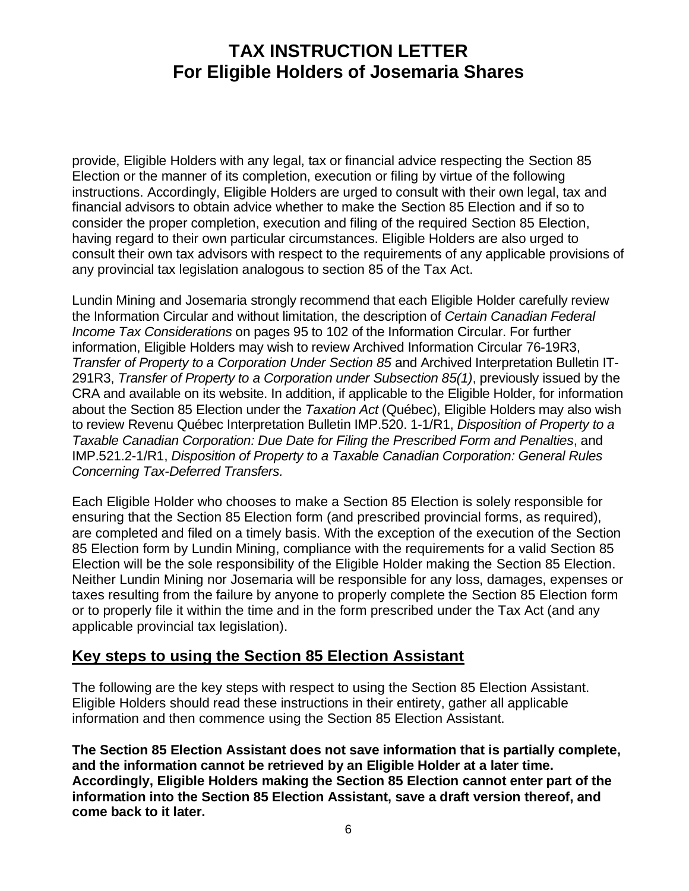provide, Eligible Holders with any legal, tax or financial advice respecting the Section 85 Election or the manner of its completion, execution or filing by virtue of the following instructions. Accordingly, Eligible Holders are urged to consult with their own legal, tax and financial advisors to obtain advice whether to make the Section 85 Election and if so to consider the proper completion, execution and filing of the required Section 85 Election, having regard to their own particular circumstances. Eligible Holders are also urged to consult their own tax advisors with respect to the requirements of any applicable provisions of any provincial tax legislation analogous to section 85 of the Tax Act.

Lundin Mining and Josemaria strongly recommend that each Eligible Holder carefully review the Information Circular and without limitation, the description of *Certain Canadian Federal Income Tax Considerations* on pages 95 to 102 of the Information Circular. For further information, Eligible Holders may wish to review Archived Information Circular 76-19R3, *Transfer of Property to a Corporation Under Section 85* and Archived Interpretation Bulletin IT-291R3, *Transfer of Property to a Corporation under Subsection 85(1)*, previously issued by the CRA and available on its website. In addition, if applicable to the Eligible Holder, for information about the Section 85 Election under the *Taxation Act* (Québec), Eligible Holders may also wish to review Revenu Québec Interpretation Bulletin IMP.520. 1-1/R1, *Disposition of Property to a Taxable Canadian Corporation: Due Date for Filing the Prescribed Form and Penalties*, and IMP.521.2-1/R1, *Disposition of Property to a Taxable Canadian Corporation: General Rules Concerning Tax-Deferred Transfers.*

Each Eligible Holder who chooses to make a Section 85 Election is solely responsible for ensuring that the Section 85 Election form (and prescribed provincial forms, as required), are completed and filed on a timely basis. With the exception of the execution of the Section 85 Election form by Lundin Mining, compliance with the requirements for a valid Section 85 Election will be the sole responsibility of the Eligible Holder making the Section 85 Election. Neither Lundin Mining nor Josemaria will be responsible for any loss, damages, expenses or taxes resulting from the failure by anyone to properly complete the Section 85 Election form or to properly file it within the time and in the form prescribed under the Tax Act (and any applicable provincial tax legislation).

#### **Key steps to using the Section 85 Election Assistant**

The following are the key steps with respect to using the Section 85 Election Assistant. Eligible Holders should read these instructions in their entirety, gather all applicable information and then commence using the Section 85 Election Assistant.

**The Section 85 Election Assistant does not save information that is partially complete, and the information cannot be retrieved by an Eligible Holder at a later time. Accordingly, Eligible Holders making the Section 85 Election cannot enter part of the information into the Section 85 Election Assistant, save a draft version thereof, and come back to it later.**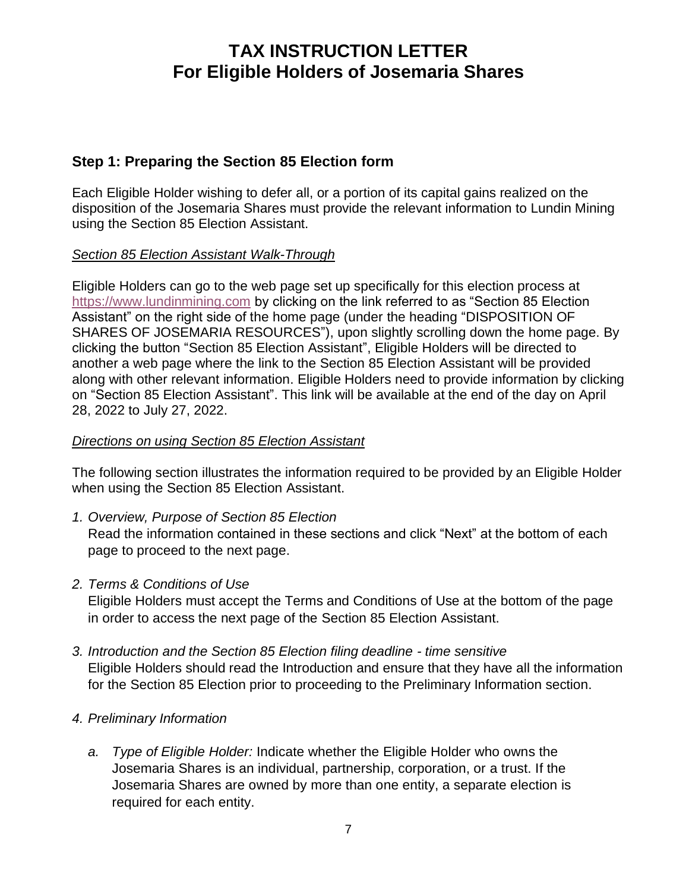#### **Step 1: Preparing the Section 85 Election form**

Each Eligible Holder wishing to defer all, or a portion of its capital gains realized on the disposition of the Josemaria Shares must provide the relevant information to Lundin Mining using the Section 85 Election Assistant.

#### *Section 85 Election Assistant Walk-Through*

Eligible Holders can go to the web page set up specifically for this election process at [https://www.lundinmining.com](https://www.lundinmining.com/) by clicking on the link referred to as "Section 85 Election Assistant" on the right side of the home page (under the heading "DISPOSITION OF SHARES OF JOSEMARIA RESOURCES"), upon slightly scrolling down the home page. By clicking the button "Section 85 Election Assistant", Eligible Holders will be directed to another a web page where the link to the Section 85 Election Assistant will be provided along with other relevant information. Eligible Holders need to provide information by clicking on "Section 85 Election Assistant". This link will be available at the end of the day on April 28, 2022 to July 27, 2022.

#### *Directions on using Section 85 Election Assistant*

The following section illustrates the information required to be provided by an Eligible Holder when using the Section 85 Election Assistant.

*1. Overview, Purpose of Section 85 Election* 

Read the information contained in these sections and click "Next" at the bottom of each page to proceed to the next page.

*2. Terms & Conditions of Use*

Eligible Holders must accept the Terms and Conditions of Use at the bottom of the page in order to access the next page of the Section 85 Election Assistant.

*3. Introduction and the Section 85 Election filing deadline - time sensitive* Eligible Holders should read the Introduction and ensure that they have all the information for the Section 85 Election prior to proceeding to the Preliminary Information section.

#### *4. Preliminary Information*

*a. Type of Eligible Holder:* Indicate whether the Eligible Holder who owns the Josemaria Shares is an individual, partnership, corporation, or a trust. If the Josemaria Shares are owned by more than one entity, a separate election is required for each entity.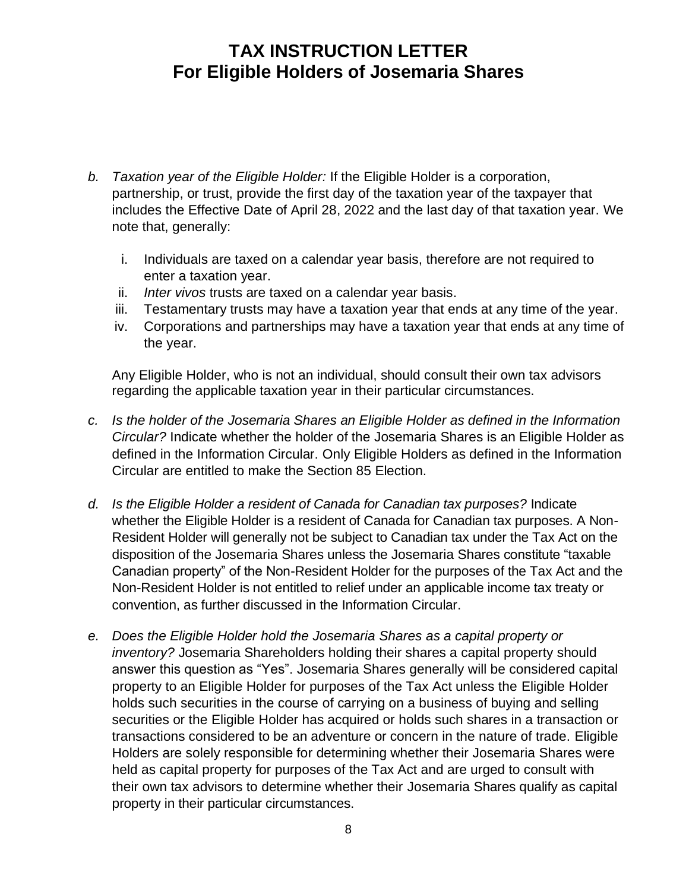- *b. Taxation year of the Eligible Holder:* If the Eligible Holder is a corporation, partnership, or trust, provide the first day of the taxation year of the taxpayer that includes the Effective Date of April 28, 2022 and the last day of that taxation year. We note that, generally:
	- i. Individuals are taxed on a calendar year basis, therefore are not required to enter a taxation year.
	- ii. *Inter vivos* trusts are taxed on a calendar year basis.
	- iii. Testamentary trusts may have a taxation year that ends at any time of the year.
	- iv. Corporations and partnerships may have a taxation year that ends at any time of the year.

Any Eligible Holder, who is not an individual, should consult their own tax advisors regarding the applicable taxation year in their particular circumstances.

- *c. Is the holder of the Josemaria Shares an Eligible Holder as defined in the Information Circular?* Indicate whether the holder of the Josemaria Shares is an Eligible Holder as defined in the Information Circular. Only Eligible Holders as defined in the Information Circular are entitled to make the Section 85 Election.
- *d. Is the Eligible Holder a resident of Canada for Canadian tax purposes?* Indicate whether the Eligible Holder is a resident of Canada for Canadian tax purposes. A Non-Resident Holder will generally not be subject to Canadian tax under the Tax Act on the disposition of the Josemaria Shares unless the Josemaria Shares constitute "taxable Canadian property" of the Non-Resident Holder for the purposes of the Tax Act and the Non-Resident Holder is not entitled to relief under an applicable income tax treaty or convention, as further discussed in the Information Circular.
- *e. Does the Eligible Holder hold the Josemaria Shares as a capital property or inventory?* Josemaria Shareholders holding their shares a capital property should answer this question as "Yes". Josemaria Shares generally will be considered capital property to an Eligible Holder for purposes of the Tax Act unless the Eligible Holder holds such securities in the course of carrying on a business of buying and selling securities or the Eligible Holder has acquired or holds such shares in a transaction or transactions considered to be an adventure or concern in the nature of trade. Eligible Holders are solely responsible for determining whether their Josemaria Shares were held as capital property for purposes of the Tax Act and are urged to consult with their own tax advisors to determine whether their Josemaria Shares qualify as capital property in their particular circumstances.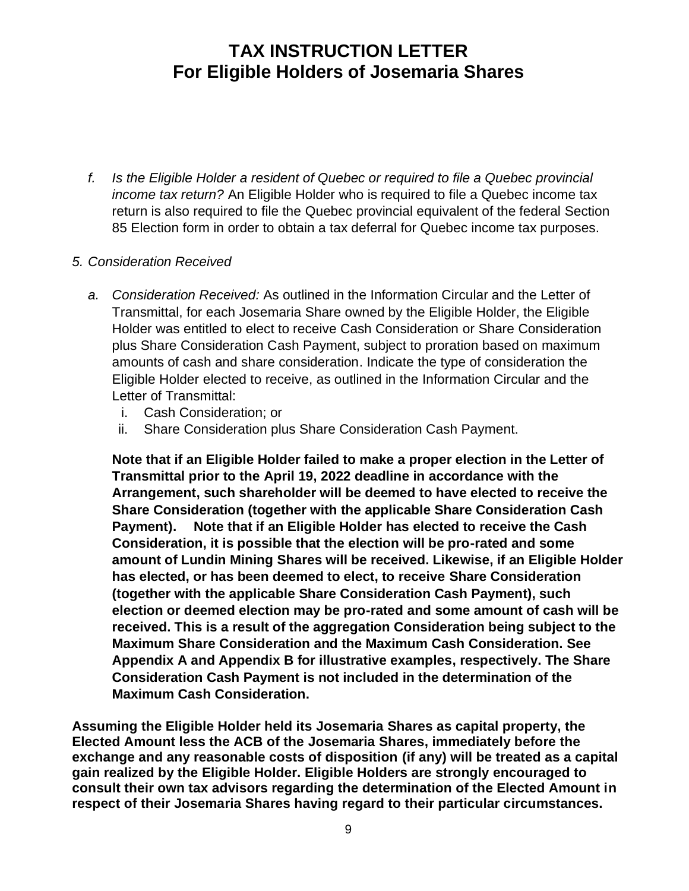*f. Is the Eligible Holder a resident of Quebec or required to file a Quebec provincial income tax return?* An Eligible Holder who is required to file a Quebec income tax return is also required to file the Quebec provincial equivalent of the federal Section 85 Election form in order to obtain a tax deferral for Quebec income tax purposes.

#### *5. Consideration Received*

- *a. Consideration Received:* As outlined in the Information Circular and the Letter of Transmittal, for each Josemaria Share owned by the Eligible Holder, the Eligible Holder was entitled to elect to receive Cash Consideration or Share Consideration plus Share Consideration Cash Payment, subject to proration based on maximum amounts of cash and share consideration. Indicate the type of consideration the Eligible Holder elected to receive, as outlined in the Information Circular and the Letter of Transmittal:
	- i. Cash Consideration; or
	- ii. Share Consideration plus Share Consideration Cash Payment.

**Note that if an Eligible Holder failed to make a proper election in the Letter of Transmittal prior to the April 19, 2022 deadline in accordance with the Arrangement, such shareholder will be deemed to have elected to receive the Share Consideration (together with the applicable Share Consideration Cash Payment). Note that if an Eligible Holder has elected to receive the Cash Consideration, it is possible that the election will be pro-rated and some amount of Lundin Mining Shares will be received. Likewise, if an Eligible Holder has elected, or has been deemed to elect, to receive Share Consideration (together with the applicable Share Consideration Cash Payment), such election or deemed election may be pro-rated and some amount of cash will be received. This is a result of the aggregation Consideration being subject to the Maximum Share Consideration and the Maximum Cash Consideration. See Appendix A and Appendix B for illustrative examples, respectively. The Share Consideration Cash Payment is not included in the determination of the Maximum Cash Consideration.** 

**Assuming the Eligible Holder held its Josemaria Shares as capital property, the Elected Amount less the ACB of the Josemaria Shares, immediately before the exchange and any reasonable costs of disposition (if any) will be treated as a capital gain realized by the Eligible Holder. Eligible Holders are strongly encouraged to consult their own tax advisors regarding the determination of the Elected Amount in respect of their Josemaria Shares having regard to their particular circumstances.**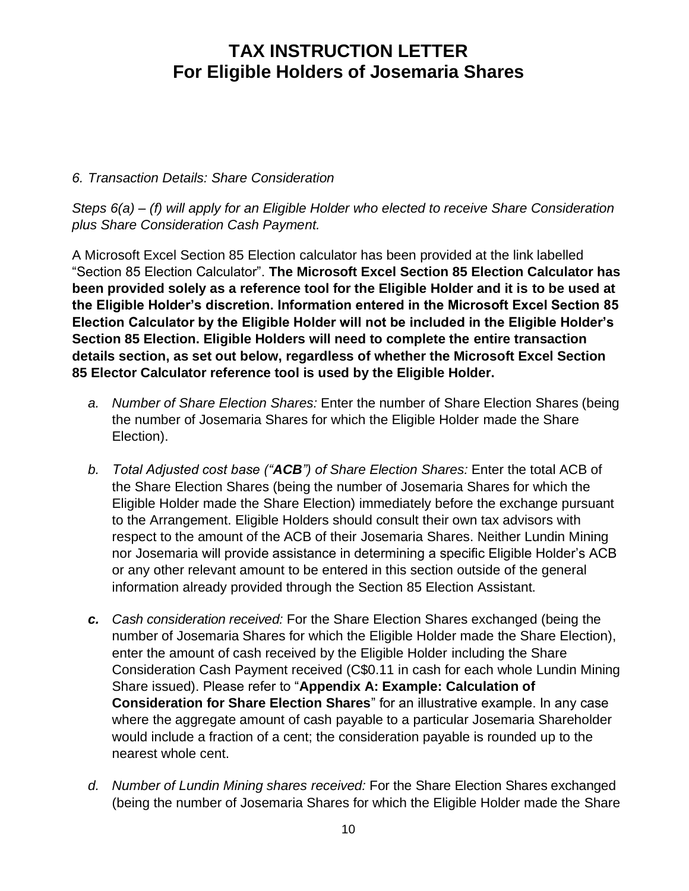#### *6. Transaction Details: Share Consideration*

*Steps 6(a) – (f) will apply for an Eligible Holder who elected to receive Share Consideration plus Share Consideration Cash Payment.* 

A Microsoft Excel Section 85 Election calculator has been provided at the link labelled "Section 85 Election Calculator". **The Microsoft Excel Section 85 Election Calculator has been provided solely as a reference tool for the Eligible Holder and it is to be used at the Eligible Holder's discretion. Information entered in the Microsoft Excel Section 85 Election Calculator by the Eligible Holder will not be included in the Eligible Holder's Section 85 Election. Eligible Holders will need to complete the entire transaction details section, as set out below, regardless of whether the Microsoft Excel Section 85 Elector Calculator reference tool is used by the Eligible Holder.**

- *a. Number of Share Election Shares:* Enter the number of Share Election Shares (being the number of Josemaria Shares for which the Eligible Holder made the Share Election).
- *b. Total Adjusted cost base ("ACB") of Share Election Shares:* Enter the total ACB of the Share Election Shares (being the number of Josemaria Shares for which the Eligible Holder made the Share Election) immediately before the exchange pursuant to the Arrangement. Eligible Holders should consult their own tax advisors with respect to the amount of the ACB of their Josemaria Shares. Neither Lundin Mining nor Josemaria will provide assistance in determining a specific Eligible Holder's ACB or any other relevant amount to be entered in this section outside of the general information already provided through the Section 85 Election Assistant.
- *c. Cash consideration received:* For the Share Election Shares exchanged (being the number of Josemaria Shares for which the Eligible Holder made the Share Election), enter the amount of cash received by the Eligible Holder including the Share Consideration Cash Payment received (C\$0.11 in cash for each whole Lundin Mining Share issued). Please refer to "**Appendix A: Example: Calculation of Consideration for Share Election Shares**" for an illustrative example. In any case where the aggregate amount of cash payable to a particular Josemaria Shareholder would include a fraction of a cent; the consideration payable is rounded up to the nearest whole cent.
- *d. Number of Lundin Mining shares received:* For the Share Election Shares exchanged (being the number of Josemaria Shares for which the Eligible Holder made the Share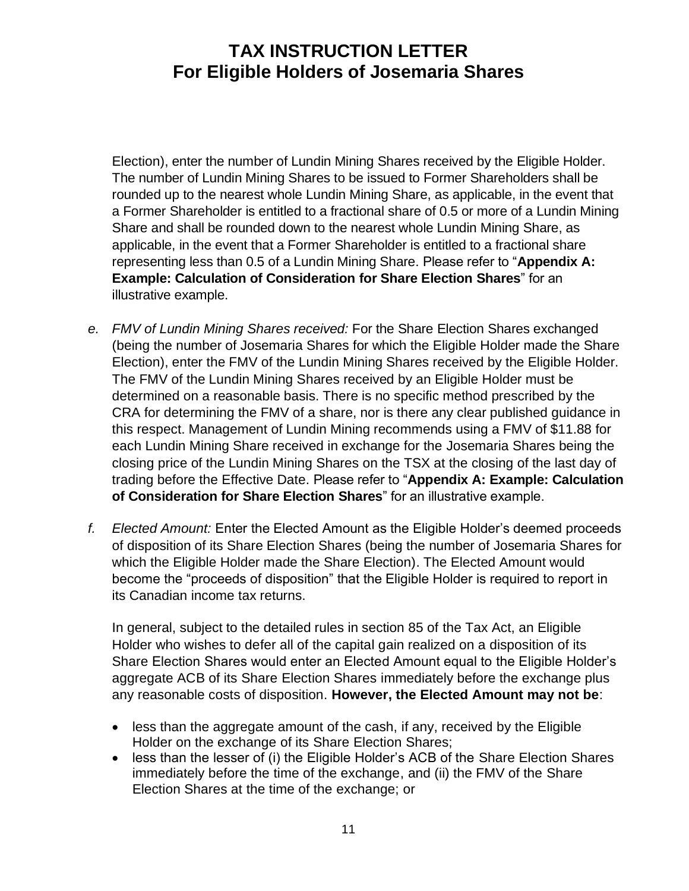Election), enter the number of Lundin Mining Shares received by the Eligible Holder. The number of Lundin Mining Shares to be issued to Former Shareholders shall be rounded up to the nearest whole Lundin Mining Share, as applicable, in the event that a Former Shareholder is entitled to a fractional share of 0.5 or more of a Lundin Mining Share and shall be rounded down to the nearest whole Lundin Mining Share, as applicable, in the event that a Former Shareholder is entitled to a fractional share representing less than 0.5 of a Lundin Mining Share. Please refer to "**Appendix A: Example: Calculation of Consideration for Share Election Shares**" for an illustrative example.

- *e. FMV of Lundin Mining Shares received:* For the Share Election Shares exchanged (being the number of Josemaria Shares for which the Eligible Holder made the Share Election), enter the FMV of the Lundin Mining Shares received by the Eligible Holder. The FMV of the Lundin Mining Shares received by an Eligible Holder must be determined on a reasonable basis. There is no specific method prescribed by the CRA for determining the FMV of a share, nor is there any clear published guidance in this respect. Management of Lundin Mining recommends using a FMV of \$11.88 for each Lundin Mining Share received in exchange for the Josemaria Shares being the closing price of the Lundin Mining Shares on the TSX at the closing of the last day of trading before the Effective Date. Please refer to "**Appendix A: Example: Calculation of Consideration for Share Election Shares**" for an illustrative example.
- *f. Elected Amount:* Enter the Elected Amount as the Eligible Holder's deemed proceeds of disposition of its Share Election Shares (being the number of Josemaria Shares for which the Eligible Holder made the Share Election). The Elected Amount would become the "proceeds of disposition" that the Eligible Holder is required to report in its Canadian income tax returns.

In general, subject to the detailed rules in section 85 of the Tax Act, an Eligible Holder who wishes to defer all of the capital gain realized on a disposition of its Share Election Shares would enter an Elected Amount equal to the Eligible Holder's aggregate ACB of its Share Election Shares immediately before the exchange plus any reasonable costs of disposition. **However, the Elected Amount may not be**:

- less than the aggregate amount of the cash, if any, received by the Eligible Holder on the exchange of its Share Election Shares;
- less than the lesser of (i) the Eligible Holder's ACB of the Share Election Shares immediately before the time of the exchange, and (ii) the FMV of the Share Election Shares at the time of the exchange; or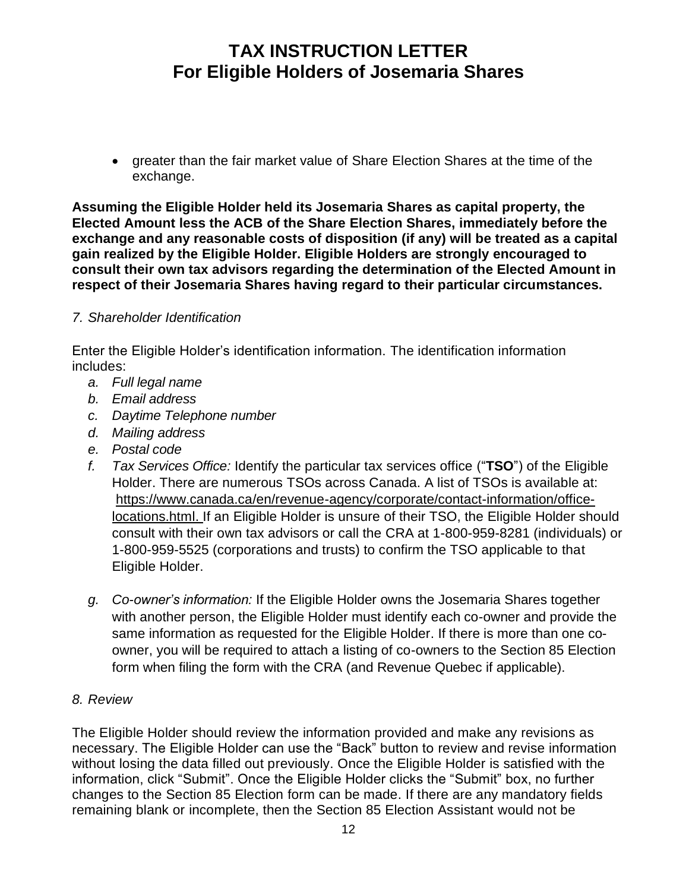• greater than the fair market value of Share Election Shares at the time of the exchange.

**Assuming the Eligible Holder held its Josemaria Shares as capital property, the Elected Amount less the ACB of the Share Election Shares, immediately before the exchange and any reasonable costs of disposition (if any) will be treated as a capital gain realized by the Eligible Holder. Eligible Holders are strongly encouraged to consult their own tax advisors regarding the determination of the Elected Amount in respect of their Josemaria Shares having regard to their particular circumstances.**

#### *7. Shareholder Identification*

Enter the Eligible Holder's identification information. The identification information includes:

- *a. Full legal name*
- *b. Email address*
- *c. Daytime Telephone number*
- *d. Mailing address*
- *e. Postal code*
- *f. Tax Services Office:* Identify the particular tax services office ("**TSO**") of the Eligible Holder. There are numerous TSOs across Canada. A list of TSOs is available at: [https://www.canada.ca/en/revenue-agency/corporate/contact-information/office](https://www.canada.ca/en/revenue-agency/corporate/contact-information/office-locations.html)[locations.html.](https://www.canada.ca/en/revenue-agency/corporate/contact-information/office-locations.html) If an Eligible Holder is unsure of their TSO, the Eligible Holder should consult with their own tax advisors or call the CRA at 1-800-959-8281 (individuals) or 1-800-959-5525 (corporations and trusts) to confirm the TSO applicable to that Eligible Holder.
- *g. Co-owner's information:* If the Eligible Holder owns the Josemaria Shares together with another person, the Eligible Holder must identify each co-owner and provide the same information as requested for the Eligible Holder. If there is more than one coowner, you will be required to attach a listing of co-owners to the Section 85 Election form when filing the form with the CRA (and Revenue Quebec if applicable).

#### *8. Review*

The Eligible Holder should review the information provided and make any revisions as necessary. The Eligible Holder can use the "Back" button to review and revise information without losing the data filled out previously. Once the Eligible Holder is satisfied with the information, click "Submit". Once the Eligible Holder clicks the "Submit" box, no further changes to the Section 85 Election form can be made. If there are any mandatory fields remaining blank or incomplete, then the Section 85 Election Assistant would not be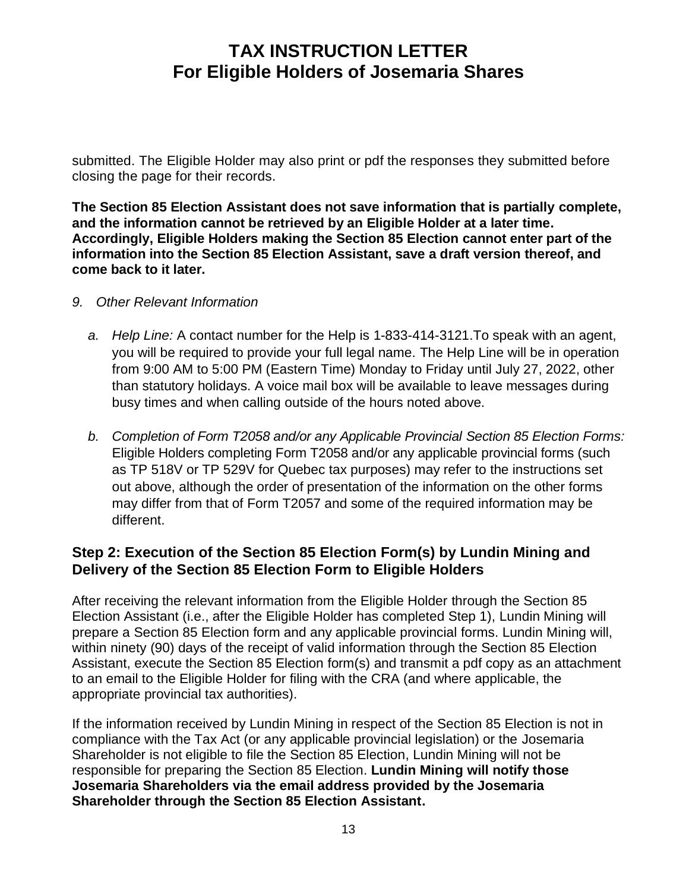submitted. The Eligible Holder may also print or pdf the responses they submitted before closing the page for their records.

**The Section 85 Election Assistant does not save information that is partially complete, and the information cannot be retrieved by an Eligible Holder at a later time. Accordingly, Eligible Holders making the Section 85 Election cannot enter part of the information into the Section 85 Election Assistant, save a draft version thereof, and come back to it later.**

- *9. Other Relevant Information*
	- *a. Help Line:* A contact number for the Help is 1-833-414-3121.To speak with an agent, you will be required to provide your full legal name. The Help Line will be in operation from 9:00 AM to 5:00 PM (Eastern Time) Monday to Friday until July 27, 2022, other than statutory holidays. A voice mail box will be available to leave messages during busy times and when calling outside of the hours noted above.
	- *b. Completion of Form T2058 and/or any Applicable Provincial Section 85 Election Forms:*  Eligible Holders completing Form T2058 and/or any applicable provincial forms (such as TP 518V or TP 529V for Quebec tax purposes) may refer to the instructions set out above, although the order of presentation of the information on the other forms may differ from that of Form T2057 and some of the required information may be different.

#### **Step 2: Execution of the Section 85 Election Form(s) by Lundin Mining and Delivery of the Section 85 Election Form to Eligible Holders**

After receiving the relevant information from the Eligible Holder through the Section 85 Election Assistant (i.e., after the Eligible Holder has completed Step 1), Lundin Mining will prepare a Section 85 Election form and any applicable provincial forms. Lundin Mining will, within ninety (90) days of the receipt of valid information through the Section 85 Election Assistant, execute the Section 85 Election form(s) and transmit a pdf copy as an attachment to an email to the Eligible Holder for filing with the CRA (and where applicable, the appropriate provincial tax authorities).

If the information received by Lundin Mining in respect of the Section 85 Election is not in compliance with the Tax Act (or any applicable provincial legislation) or the Josemaria Shareholder is not eligible to file the Section 85 Election, Lundin Mining will not be responsible for preparing the Section 85 Election. **Lundin Mining will notify those Josemaria Shareholders via the email address provided by the Josemaria Shareholder through the Section 85 Election Assistant.**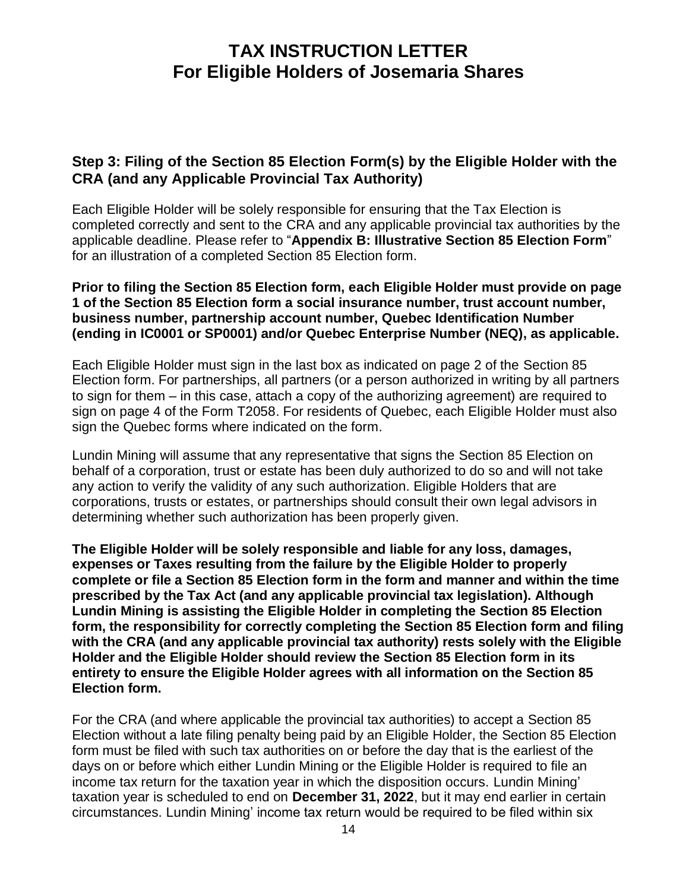#### **Step 3: Filing of the Section 85 Election Form(s) by the Eligible Holder with the CRA (and any Applicable Provincial Tax Authority)**

Each Eligible Holder will be solely responsible for ensuring that the Tax Election is completed correctly and sent to the CRA and any applicable provincial tax authorities by the applicable deadline. Please refer to "**Appendix B: Illustrative Section 85 Election Form**" for an illustration of a completed Section 85 Election form.

**Prior to filing the Section 85 Election form, each Eligible Holder must provide on page 1 of the Section 85 Election form a social insurance number, trust account number, business number, partnership account number, Quebec Identification Number (ending in IC0001 or SP0001) and/or Quebec Enterprise Number (NEQ), as applicable.**

Each Eligible Holder must sign in the last box as indicated on page 2 of the Section 85 Election form. For partnerships, all partners (or a person authorized in writing by all partners to sign for them – in this case, attach a copy of the authorizing agreement) are required to sign on page 4 of the Form T2058. For residents of Quebec, each Eligible Holder must also sign the Quebec forms where indicated on the form.

Lundin Mining will assume that any representative that signs the Section 85 Election on behalf of a corporation, trust or estate has been duly authorized to do so and will not take any action to verify the validity of any such authorization. Eligible Holders that are corporations, trusts or estates, or partnerships should consult their own legal advisors in determining whether such authorization has been properly given.

**The Eligible Holder will be solely responsible and liable for any loss, damages, expenses or Taxes resulting from the failure by the Eligible Holder to properly complete or file a Section 85 Election form in the form and manner and within the time prescribed by the Tax Act (and any applicable provincial tax legislation). Although Lundin Mining is assisting the Eligible Holder in completing the Section 85 Election form, the responsibility for correctly completing the Section 85 Election form and filing with the CRA (and any applicable provincial tax authority) rests solely with the Eligible Holder and the Eligible Holder should review the Section 85 Election form in its entirety to ensure the Eligible Holder agrees with all information on the Section 85 Election form.**

For the CRA (and where applicable the provincial tax authorities) to accept a Section 85 Election without a late filing penalty being paid by an Eligible Holder, the Section 85 Election form must be filed with such tax authorities on or before the day that is the earliest of the days on or before which either Lundin Mining or the Eligible Holder is required to file an income tax return for the taxation year in which the disposition occurs. Lundin Mining' taxation year is scheduled to end on **December 31, 2022**, but it may end earlier in certain circumstances. Lundin Mining' income tax return would be required to be filed within six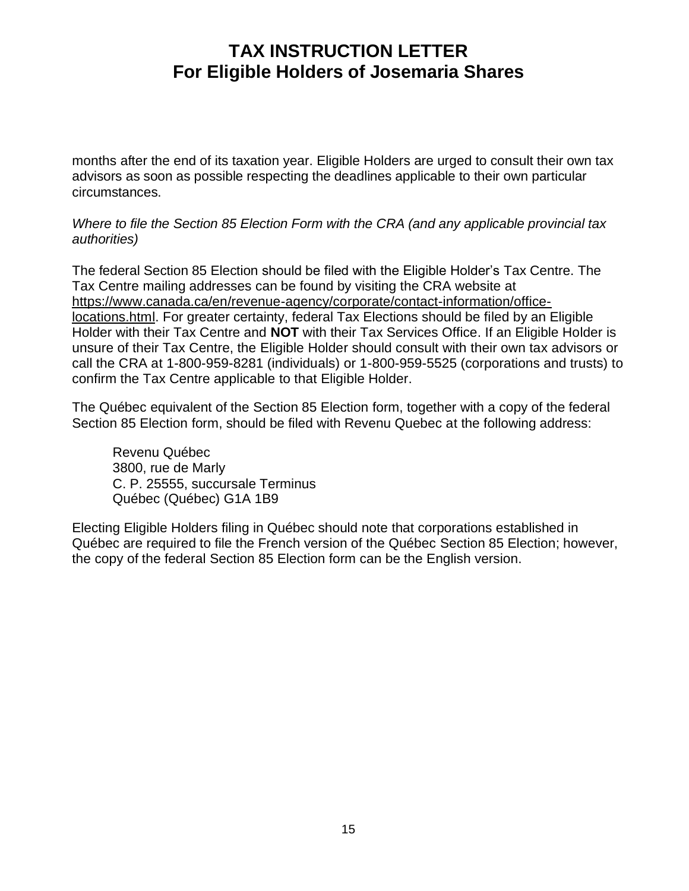months after the end of its taxation year. Eligible Holders are urged to consult their own tax advisors as soon as possible respecting the deadlines applicable to their own particular circumstances.

*Where to file the Section 85 Election Form with the CRA (and any applicable provincial tax authorities)*

The federal Section 85 Election should be filed with the Eligible Holder's Tax Centre. The Tax Centre mailing addresses can be found by visiting the CRA website at [https://www.canada.ca/en/revenue-agency/corporate/contact-information/office](https://www.canada.ca/en/revenue-agency/corporate/contact-information/office-locations.html)[locations.html.](https://www.canada.ca/en/revenue-agency/corporate/contact-information/office-locations.html) For greater certainty, federal Tax Elections should be filed by an Eligible Holder with their Tax Centre and **NOT** with their Tax Services Office. If an Eligible Holder is unsure of their Tax Centre, the Eligible Holder should consult with their own tax advisors or call the CRA at 1-800-959-8281 (individuals) or 1-800-959-5525 (corporations and trusts) to confirm the Tax Centre applicable to that Eligible Holder.

The Québec equivalent of the Section 85 Election form, together with a copy of the federal Section 85 Election form, should be filed with Revenu Quebec at the following address:

Revenu Québec 3800, rue de Marly C. P. 25555, succursale Terminus Québec (Québec) G1A 1B9

Electing Eligible Holders filing in Québec should note that corporations established in Québec are required to file the French version of the Québec Section 85 Election; however, the copy of the federal Section 85 Election form can be the English version.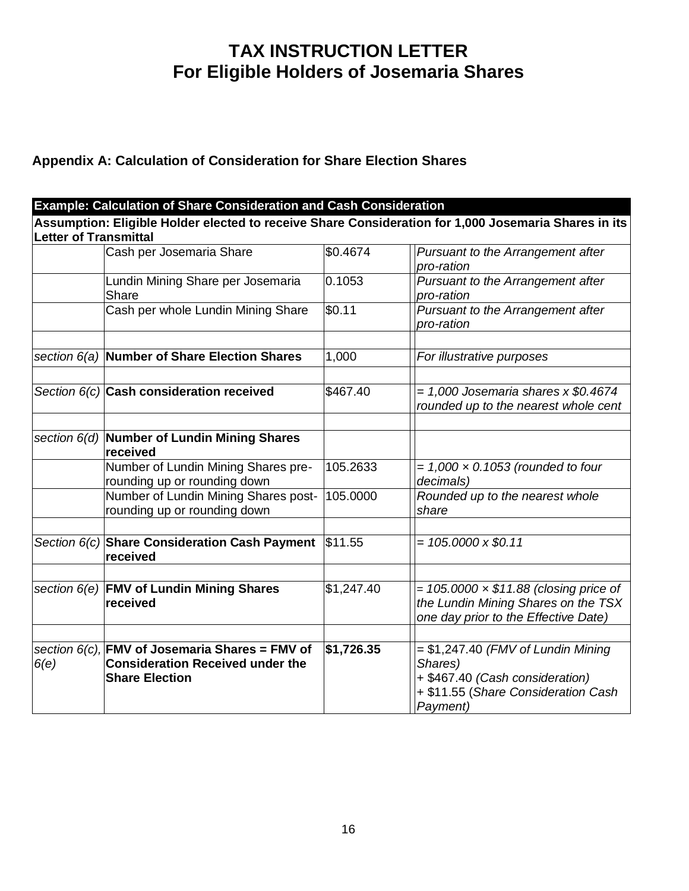#### **Appendix A: Calculation of Consideration for Share Election Shares**

**Example: Calculation of Share Consideration and Cash Consideration Assumption: Eligible Holder elected to receive Share Consideration for 1,000 Josemaria Shares in its Letter of Transmittal** Cash per Josemaria Share \$0.4674 *Pursuant to the Arrangement after pro-ration* Lundin Mining Share per Josemaria Share 0.1053 *Pursuant to the Arrangement after pro-ration* Cash per whole Lundin Mining Share  $\frac{100}{11}$  | *Pursuant to the Arrangement after pro-ration section 6(a)* **Number of Share Election Shares** 1,000 *For illustrative purposes Section 6(c)* **Cash consideration received** \$467.40 *= 1,000 Josemaria shares x \$0.4674 rounded up to the nearest whole cent section 6(d)* **Number of Lundin Mining Shares received** Number of Lundin Mining Shares prerounding up or rounding down 105.2633 *= 1,000 × 0.1053 (rounded to four decimals)* Number of Lundin Mining Shares postrounding up or rounding down 105.0000 *Rounded up to the nearest whole share Section 6(c)* **Share Consideration Cash Payment received**  $|\$11.55$   $||= 105.0000 \times \$0.11$ *section 6(e)* **FMV of Lundin Mining Shares received** \$1,247.40 = *105.0000 × \$11.88 (closing price of the Lundin Mining Shares on the TSX one day prior to the Effective Date) section 6(c),*  **FMV of Josemaria Shares = FMV of**  *6(e)* **Consideration Received under the Share Election \$1,726.35** *=* \$1,247.40 *(FMV of Lundin Mining Shares)* + \$467.40 *(Cash consideration)* + \$11.55 (*Share Consideration Cash Payment)*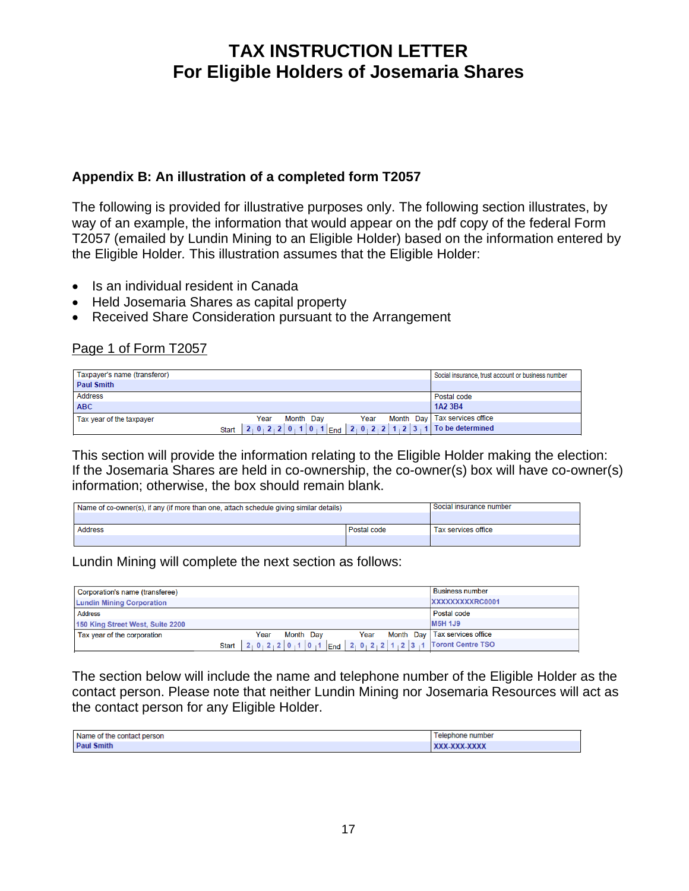#### **Appendix B: An illustration of a completed form T2057**

The following is provided for illustrative purposes only. The following section illustrates, by way of an example, the information that would appear on the pdf copy of the federal Form T2057 (emailed by Lundin Mining to an Eligible Holder) based on the information entered by the Eligible Holder*.* This illustration assumes that the Eligible Holder:

- Is an individual resident in Canada
- Held Josemaria Shares as capital property
- Received Share Consideration pursuant to the Arrangement

#### Page 1 of Form T2057

| Taxpayer's name (transferor)                                                            |  |  |  |             |                                 |  |  |  |  |  |  |  |  |  | Social insurance, trust account or business number |
|-----------------------------------------------------------------------------------------|--|--|--|-------------|---------------------------------|--|--|--|--|--|--|--|--|--|----------------------------------------------------|
| <b>Paul Smith</b>                                                                       |  |  |  |             |                                 |  |  |  |  |  |  |  |  |  |                                                    |
| Address                                                                                 |  |  |  | Postal code |                                 |  |  |  |  |  |  |  |  |  |                                                    |
| <b>ABC</b>                                                                              |  |  |  | 1A2 3B4     |                                 |  |  |  |  |  |  |  |  |  |                                                    |
| Month Day<br>Year<br>Year<br>Tax year of the taxpayer                                   |  |  |  |             | Month Day   Tax services office |  |  |  |  |  |  |  |  |  |                                                    |
| $2_1 0_1 2_2 2_1 0_1 1 0_1 1$ End $2_1 0_1 2_1 2 1_1 2 3_1 1$ To be determined<br>Start |  |  |  |             |                                 |  |  |  |  |  |  |  |  |  |                                                    |

This section will provide the information relating to the Eligible Holder making the election: If the Josemaria Shares are held in co-ownership, the co-owner(s) box will have co-owner(s) information; otherwise, the box should remain blank.

| Name of co-owner(s), if any (if more than one, attach schedule giving similar details) | Social insurance number |                     |
|----------------------------------------------------------------------------------------|-------------------------|---------------------|
|                                                                                        |                         |                     |
| <b>Address</b>                                                                         | Postal code             | Tax services office |
|                                                                                        |                         |                     |

Lundin Mining will complete the next section as follows:

| Corporation's name (transferee)  |              |                                                              | <b>Business number</b>          |
|----------------------------------|--------------|--------------------------------------------------------------|---------------------------------|
| <b>Lundin Mining Corporation</b> |              |                                                              | XXXXXXXXXRC0001                 |
| <b>Address</b>                   |              |                                                              | Postal code                     |
| 150 King Street West, Suite 2200 |              |                                                              | <b>M5H 1J9</b>                  |
| Tax year of the corporation      |              | Month Day<br>Year<br>Year                                    | Month Day   Tax services office |
|                                  | <b>Start</b> | $ 2 0 2 2 0 1 0 1 $ End $ 2 0 2 2 1 2 3 1$ Toront Centre TSO |                                 |

The section below will include the name and telephone number of the Eligible Holder as the contact person. Please note that neither Lundin Mining nor Josemaria Resources will act as the contact person for any Eligible Holder.

| Name of the contact person | elephone<br>number |
|----------------------------|--------------------|
| <b>Paul Smith</b>          | XXX-XXX-XXXX       |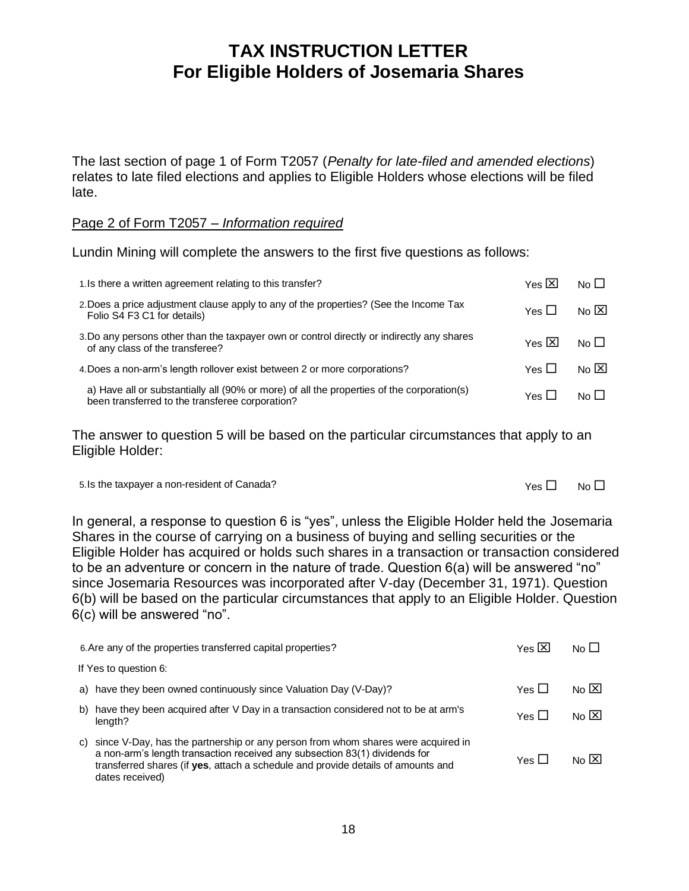The last section of page 1 of Form T2057 (*Penalty for late-filed and amended elections*) relates to late filed elections and applies to Eligible Holders whose elections will be filed late.

#### Page 2 of Form T2057 – *Information required*

Lundin Mining will complete the answers to the first five questions as follows:

| 1. Is there a written agreement relating to this transfer?                                                                                    | Yes $\boxtimes$ | No <sub>l</sub>               |
|-----------------------------------------------------------------------------------------------------------------------------------------------|-----------------|-------------------------------|
| 2. Does a price adjustment clause apply to any of the properties? (See the Income Tax<br>Folio S4 F3 C1 for details)                          | Yes ∐           | $N0$ $\vert$ $\times$ $\vert$ |
| 3. Do any persons other than the taxpayer own or control directly or indirectly any shares<br>of any class of the transferee?                 | Yes $\boxtimes$ | $N_0 \Box$                    |
| 4. Does a non-arm's length rollover exist between 2 or more corporations?                                                                     | Yes ∐           | $N_0$ $\vert X \vert$         |
| a) Have all or substantially all (90% or more) of all the properties of the corporation(s)<br>been transferred to the transferee corporation? | Yes ∐           | No LI                         |

The answer to question 5 will be based on the particular circumstances that apply to an Eligible Holder:

| 5. Is the taxpayer a non-resident of Canada? | $Yes \Box$ No $\Box$ |  |
|----------------------------------------------|----------------------|--|
|----------------------------------------------|----------------------|--|

In general, a response to question 6 is "yes", unless the Eligible Holder held the Josemaria Shares in the course of carrying on a business of buying and selling securities or the Eligible Holder has acquired or holds such shares in a transaction or transaction considered to be an adventure or concern in the nature of trade. Question 6(a) will be answered "no" since Josemaria Resources was incorporated after V-day (December 31, 1971). Question 6(b) will be based on the particular circumstances that apply to an Eligible Holder. Question 6(c) will be answered "no".

| 6. Are any of the properties transferred capital properties?                                                                                                                                                                                                                | Yes $\boxtimes$ | No <sub>l</sub>      |
|-----------------------------------------------------------------------------------------------------------------------------------------------------------------------------------------------------------------------------------------------------------------------------|-----------------|----------------------|
| If Yes to question 6:                                                                                                                                                                                                                                                       |                 |                      |
| a) have they been owned continuously since Valuation Day (V-Day)?                                                                                                                                                                                                           | Yes 凵           | $N_0$ $\overline{X}$ |
| have they been acquired after V Day in a transaction considered not to be at arm's<br>b)<br>length?                                                                                                                                                                         | Yes ∐           | $N_0$ $\overline{X}$ |
| since V-Day, has the partnership or any person from whom shares were acquired in<br>C)<br>a non-arm's length transaction received any subsection 83(1) dividends for<br>transferred shares (if yes, attach a schedule and provide details of amounts and<br>dates received) | Yes 凵           | No $[\overline{X}]$  |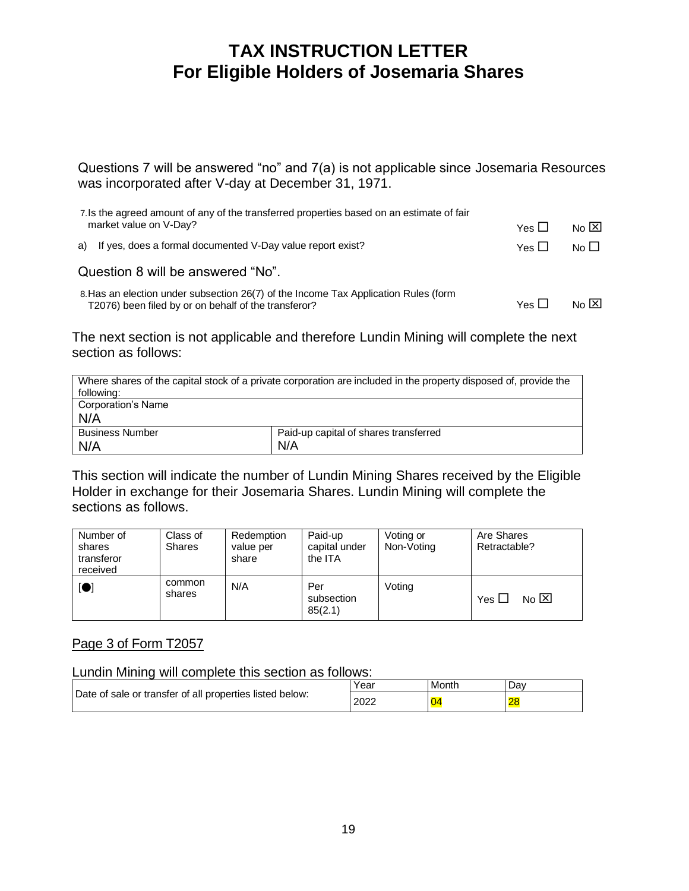Questions 7 will be answered "no" and 7(a) is not applicable since Josemaria Resources was incorporated after V-day at December 31, 1971.

| 7. Is the agreed amount of any of the transferred properties based on an estimate of fair                                                   |              |                      |
|---------------------------------------------------------------------------------------------------------------------------------------------|--------------|----------------------|
| market value on V-Day?                                                                                                                      | Yes $\Box$   | No $\boxtimes$       |
| a) If yes, does a formal documented V-Day value report exist?                                                                               | Yes $\Box$   | No <sub>l</sub>      |
| Question 8 will be answered "No".                                                                                                           |              |                      |
| 8. Has an election under subsection 26(7) of the Income Tax Application Rules (form<br>T2076) been filed by or on behalf of the transferor? | Yes $\sqcup$ | $N_0$ $\overline{X}$ |

The next section is not applicable and therefore Lundin Mining will complete the next section as follows:

| Where shares of the capital stock of a private corporation are included in the property disposed of, provide the<br>following: |                                       |  |  |  |  |
|--------------------------------------------------------------------------------------------------------------------------------|---------------------------------------|--|--|--|--|
| <b>Corporation's Name</b><br>N/A                                                                                               |                                       |  |  |  |  |
| <b>Business Number</b>                                                                                                         | Paid-up capital of shares transferred |  |  |  |  |
|                                                                                                                                |                                       |  |  |  |  |
| N/A                                                                                                                            | N/A                                   |  |  |  |  |

This section will indicate the number of Lundin Mining Shares received by the Eligible Holder in exchange for their Josemaria Shares. Lundin Mining will complete the sections as follows.

| Number of<br>shares<br>transferor<br>received | Class of<br><b>Shares</b> | Redemption<br>value per<br>share | Paid-up<br>capital under<br>the ITA | Voting or<br>Non-Voting | Are Shares<br>Retractable?         |  |
|-----------------------------------------------|---------------------------|----------------------------------|-------------------------------------|-------------------------|------------------------------------|--|
| $\blacksquare$                                | common<br>shares          | N/A                              | Per<br>subsection<br>85(2.1)        | Voting                  | $N_0$ $\overline{X}$<br>Yes $\Box$ |  |

#### Page 3 of Form T2057

Lundin Mining will complete this section as follows:

|                                                          | Year | Month | Dav |
|----------------------------------------------------------|------|-------|-----|
| Date of sale or transfer of all properties listed below: | 2022 | æ     | 28  |